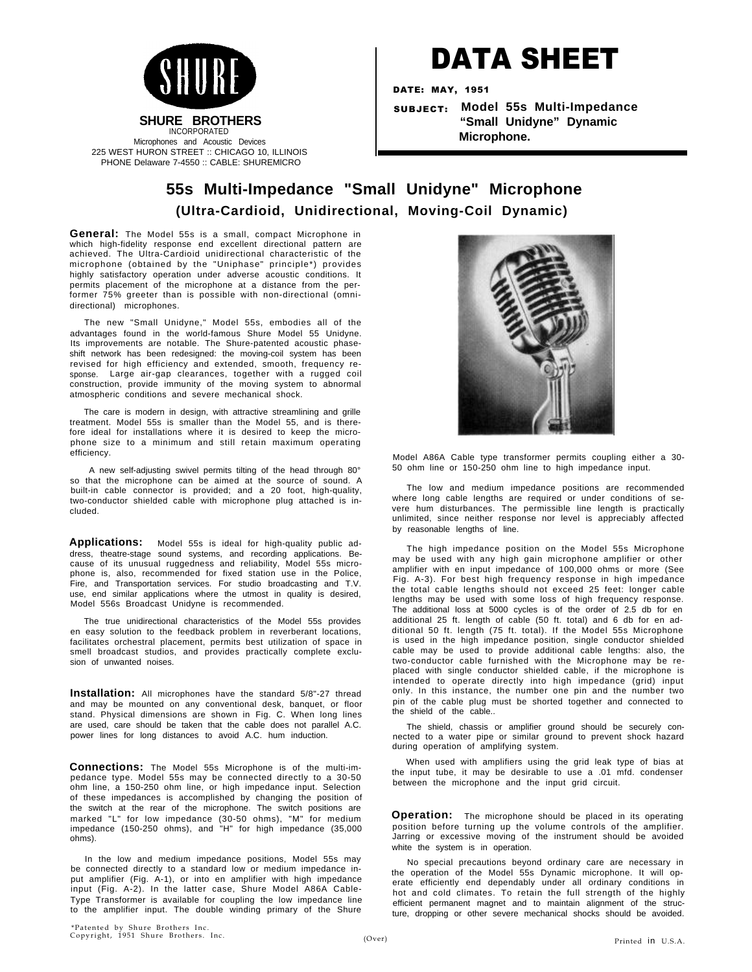

# DATA SHEET

DATE: MAY, 1951

SUBJECT: **Model 55s Multi-Impedance "Small Unidyne" Dynamic Microphone.**

# **55s Multi-Impedance "Small Unidyne" Microphone (Ultra-Cardioid, Unidirectional, Moving-Coil Dynamic)**

**General:** The Model 55s is a small, compact Microphone in which high-fidelity response end excellent directional pattern are achieved. The Ultra-Cardioid unidirectional characteristic of the microphone (obtained by the "Uniphase" principle\*) provides highly satisfactory operation under adverse acoustic conditions. It permits placement of the microphone at a distance from the performer 75% greeter than is possible with non-directional (omnidirectional) microphones.

The new "Small Unidyne," Model 55s, embodies all of the advantages found in the world-famous Shure Model 55 Unidyne. Its improvements are notable. The Shure-patented acoustic phaseshift network has been redesigned: the moving-coil system has been revised for high efficiency and extended, smooth, frequency response. Large air-gap clearances, together with a rugged coil construction, provide immunity of the moving system to abnormal atmospheric conditions and severe mechanical shock.

The care is modern in design, with attractive streamlining and grille treatment. Model 55s is smaller than the Model 55, and is therefore ideal for installations where it is desired to keep the microphone size to a minimum and still retain maximum operating efficiency.

A new self-adjusting swivel permits tilting of the head through 80° so that the microphone can be aimed at the source of sound. A built-in cable connector is provided; and a 20 foot, high-quality, two-conductor shielded cable with microphone plug attached is included.

**Applications:** Model 55s is ideal for high-quality public address, theatre-stage sound systems, and recording applications. Because of its unusual ruggedness and reliability, Model 55s microphone is, also, recommended for fixed station use in the Police, Fire, and Transportation services. For studio broadcasting and T.V. use, end similar applications where the utmost in quality is desired, Model 556s Broadcast Unidyne is recommended.

The true unidirectional characteristics of the Model 55s provides en easy solution to the feedback problem in reverberant locations, facilitates orchestral placement, permits best utilization of space in smell broadcast studios, and provides practically complete exclusion of unwanted noises.

**Installation:** All microphones have the standard 5/8"-27 thread and may be mounted on any conventional desk, banquet, or floor stand. Physical dimensions are shown in Fig. C. When long lines are used, care should be taken that the cable does not parallel A.C. power lines for long distances to avoid A.C. hum induction.

**Connections:** The Model 55s Microphone is of the multi-impedance type. Model 55s may be connected directly to a 30-50 ohm line, a 150-250 ohm line, or high impedance input. Selection of these impedances is accomplished by changing the position of the switch at the rear of the microphone. The switch positions are marked "L" for low impedance (30-50 ohms), "M" for medium impedance (150-250 ohms), and "H" for high impedance (35,000 ohms).

In the low and medium impedance positions, Model 55s may be connected directly to a standard low or medium impedance input amplifier (Fig. A-1), or into en amplifier with high impedance input (Fig. A-2). In the latter case, Shure Model A86A Cable-Type Transformer is available for coupling the low impedance line to the amplifier input. The double winding primary of the Shure



Model A86A Cable type transformer permits coupling either a 30- 50 ohm line or 150-250 ohm line to high impedance input.

The low and medium impedance positions are recommended where long cable lengths are required or under conditions of severe hum disturbances. The permissible line length is practically unlimited, since neither response nor level is appreciably affected by reasonable lengths of line.

The high impedance position on the Model 55s Microphone may be used with any high gain microphone amplifier or other amplifier with en input impedance of 100,000 ohms or more (See Fig. A-3). For best high frequency response in high impedance the total cable lengths should not exceed 25 feet: longer cable lengths may be used with some loss of high frequency response. The additional loss at 5000 cycles is of the order of 2.5 db for en additional 25 ft. length of cable (50 ft. total) and 6 db for en additional 50 ft. length (75 ft. total). If the Model 55s Microphone is used in the high impedance position, single conductor shielded cable may be used to provide additional cable lengths: also, the two-conductor cable furnished with the Microphone may be replaced with single conductor shielded cable, if the microphone is intended to operate directly into high impedance (grid) input only. In this instance, the number one pin and the number two pin of the cable plug must be shorted together and connected to the shield of the cable..

The shield, chassis or amplifier ground should be securely connected to a water pipe or similar ground to prevent shock hazard during operation of amplifying system.

When used with amplifiers using the grid leak type of bias at the input tube, it may be desirable to use a .01 mfd. condenser between the microphone and the input grid circuit.

**Operation:** The microphone should be placed in its operating position before turning up the volume controls of the amplifier. Jarring or excessive moving of the instrument should be avoided white the system is in operation.

No special precautions beyond ordinary care are necessary in the operation of the Model 55s Dynamic microphone. It will operate efficiently end dependably under all ordinary conditions in hot and cold climates. To retain the full strength of the highly efficient permanent magnet and to maintain alignment of the structure, dropping or other severe mechanical shocks should be avoided.